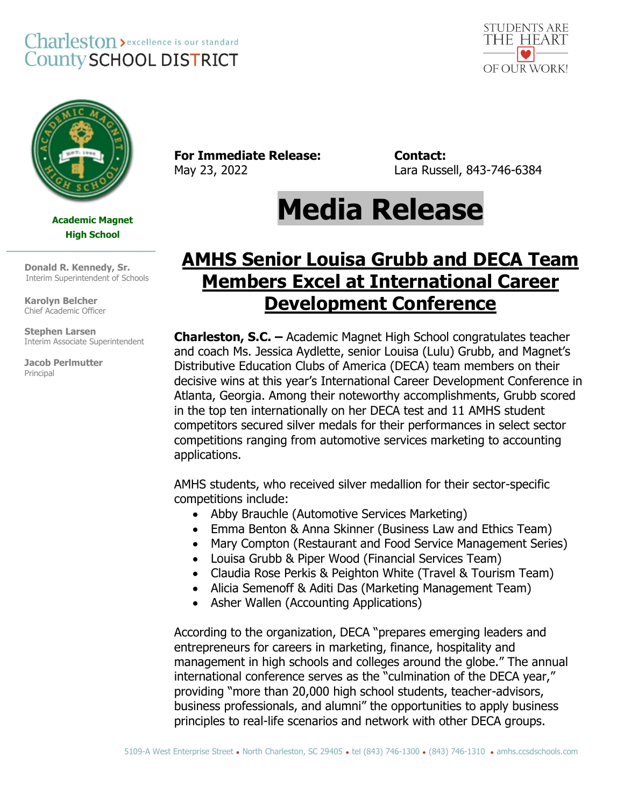## Charleston > excellence is our standard **County SCHOOL DISTRICT**





## **Academic Magnet High School**

 **Donald R. Kennedy, Sr.** Interim Superintendent of Schools

**\_\_\_\_\_\_\_\_\_\_\_\_\_\_\_\_\_\_\_\_\_\_\_**

**Karolyn Belcher** Chief Academic Officer

 **Stephen Larsen** Interim Associate Superintendent

**Jacob Perlmutter** Principal

**For Immediate Release: Contact:**

May 23, 2022 Lara Russell, 843-746-6384

## **Media Release**

## **AMHS Senior Louisa Grubb and DECA Team Members Excel at International Career Development Conference**

**Charleston, S.C. –** Academic Magnet High School congratulates teacher and coach Ms. Jessica Aydlette, senior Louisa (Lulu) Grubb, and Magnet's Distributive Education Clubs of America (DECA) team members on their decisive wins at this year's International Career Development Conference in Atlanta, Georgia. Among their noteworthy accomplishments, Grubb scored in the top ten internationally on her DECA test and 11 AMHS student competitors secured silver medals for their performances in select sector competitions ranging from automotive services marketing to accounting applications.

AMHS students, who received silver medallion for their sector-specific competitions include:

- Abby Brauchle (Automotive Services Marketing)
- Emma Benton & Anna Skinner (Business Law and Ethics Team)
- Mary Compton (Restaurant and Food Service Management Series)
- Louisa Grubb & Piper Wood (Financial Services Team)
- Claudia Rose Perkis & Peighton White (Travel & Tourism Team)
- Alicia Semenoff & Aditi Das (Marketing Management Team)
- Asher Wallen (Accounting Applications)

According to the organization, DECA "prepares emerging leaders and entrepreneurs for careers in marketing, finance, hospitality and management in high schools and colleges around the globe." The annual international conference serves as the "culmination of the DECA year," providing "more than 20,000 high school students, teacher-advisors, business professionals, and alumni" the opportunities to apply business principles to real-life scenarios and network with other DECA groups.